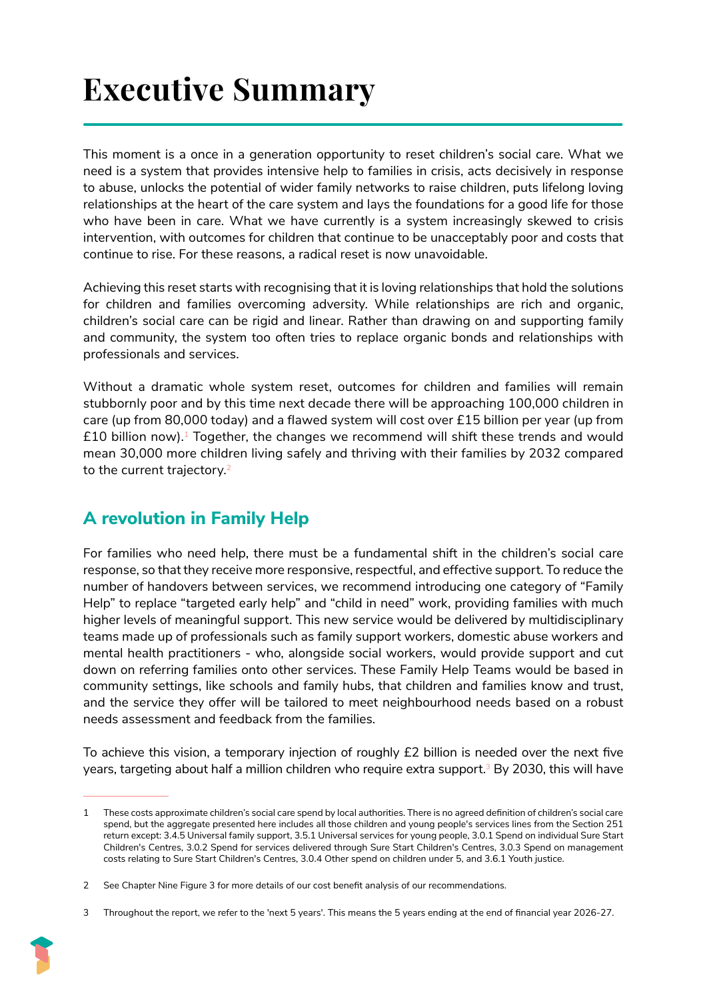# **Executive Summary**

This moment is a once in a generation opportunity to reset children's social care. What we need is a system that provides intensive help to families in crisis, acts decisively in response to abuse, unlocks the potential of wider family networks to raise children, puts lifelong loving relationships at the heart of the care system and lays the foundations for a good life for those who have been in care. What we have currently is a system increasingly skewed to crisis intervention, with outcomes for children that continue to be unacceptably poor and costs that continue to rise. For these reasons, a radical reset is now unavoidable.

Achieving this reset starts with recognising that it is loving relationships that hold the solutions for children and families overcoming adversity. While relationships are rich and organic, children's social care can be rigid and linear. Rather than drawing on and supporting family and community, the system too often tries to replace organic bonds and relationships with professionals and services.

Without a dramatic whole system reset, outcomes for children and families will remain stubbornly poor and by this time next decade there will be approaching 100,000 children in care (up from 80,000 today) and a flawed system will cost over £15 billion per year (up from  $£10$  billion now).<sup>1</sup> Together, the changes we recommend will shift these trends and would mean 30,000 more children living safely and thriving with their families by 2032 compared to the current trajectory.<sup>2</sup>

## **A revolution in Family Help**

For families who need help, there must be a fundamental shift in the children's social care response, so that they receive more responsive, respectful, and effective support. To reduce the number of handovers between services, we recommend introducing one category of "Family Help" to replace "targeted early help" and "child in need" work, providing families with much higher levels of meaningful support. This new service would be delivered by multidisciplinary teams made up of professionals such as family support workers, domestic abuse workers and mental health practitioners - who, alongside social workers, would provide support and cut down on referring families onto other services. These Family Help Teams would be based in community settings, like schools and family hubs, that children and families know and trust, and the service they offer will be tailored to meet neighbourhood needs based on a robust needs assessment and feedback from the families.

To achieve this vision, a temporary injection of roughly £2 billion is needed over the next five years, targeting about half a million children who require extra support.<sup>3</sup> By 2030, this will have

<sup>3</sup> Throughout the report, we refer to the 'next 5 years'. This means the 5 years ending at the end of financial year 2026-27.



<sup>1</sup> These costs approximate children's social care spend by local authorities. There is no agreed definition of children's social care spend, but the aggregate presented here includes all those children and young people's services lines from the Section 251 return except: 3.4.5 Universal family support, 3.5.1 Universal services for young people, 3.0.1 Spend on individual Sure Start Children's Centres, 3.0.2 Spend for services delivered through Sure Start Children's Centres, 3.0.3 Spend on management costs relating to Sure Start Children's Centres, 3.0.4 Other spend on children under 5, and 3.6.1 Youth justice.

<sup>2</sup> See Chapter Nine Figure 3 for more details of our cost benefit analysis of our recommendations.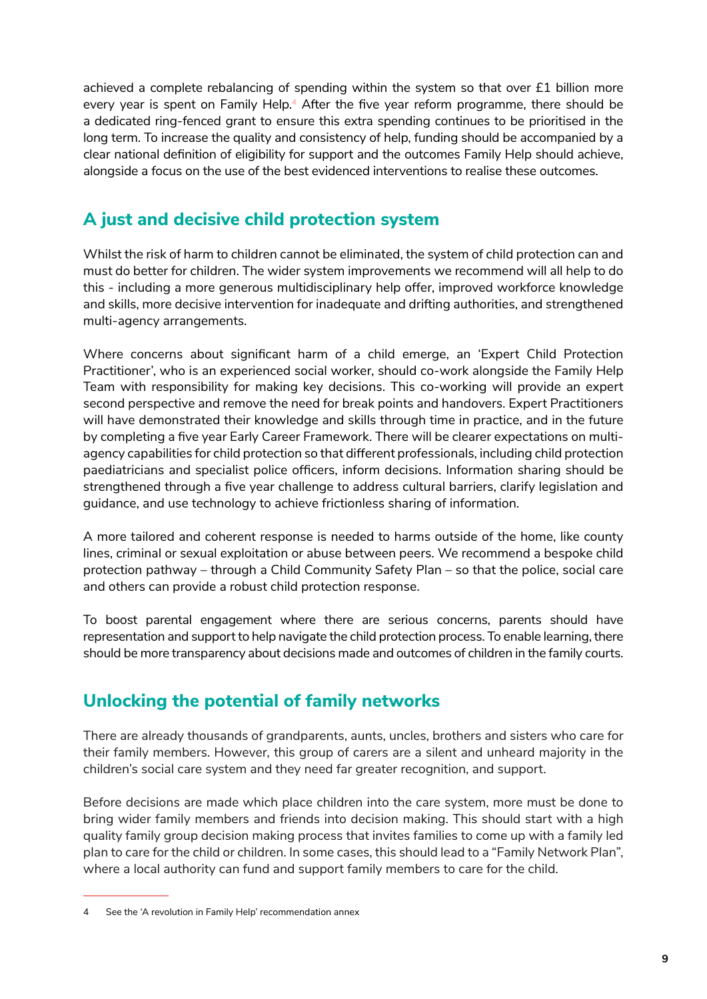achieved a complete rebalancing of spending within the system so that over £1 billion more every year is spent on Family Help.<sup>4</sup> After the five year reform programme, there should be a dedicated ring-fenced grant to ensure this extra spending continues to be prioritised in the long term. To increase the quality and consistency of help, funding should be accompanied by a clear national definition of eligibility for support and the outcomes Family Help should achieve, alongside a focus on the use of the best evidenced interventions to realise these outcomes.

## **A just and decisive child protection system**

Whilst the risk of harm to children cannot be eliminated, the system of child protection can and must do better for children. The wider system improvements we recommend will all help to do this - including a more generous multidisciplinary help offer, improved workforce knowledge and skills, more decisive intervention for inadequate and drifting authorities, and strengthened multi-agency arrangements.

Where concerns about significant harm of a child emerge, an 'Expert Child Protection Practitioner', who is an experienced social worker, should co-work alongside the Family Help Team with responsibility for making key decisions. This co-working will provide an expert second perspective and remove the need for break points and handovers. Expert Practitioners will have demonstrated their knowledge and skills through time in practice, and in the future by completing a five year Early Career Framework. There will be clearer expectations on multiagency capabilities for child protection so that different professionals, including child protection paediatricians and specialist police officers, inform decisions. Information sharing should be strengthened through a five year challenge to address cultural barriers, clarify legislation and guidance, and use technology to achieve frictionless sharing of information.

A more tailored and coherent response is needed to harms outside of the home, like county lines, criminal or sexual exploitation or abuse between peers. We recommend a bespoke child protection pathway – through a Child Community Safety Plan – so that the police, social care and others can provide a robust child protection response.

To boost parental engagement where there are serious concerns, parents should have representation and support to help navigate the child protection process. To enable learning, there should be more transparency about decisions made and outcomes of children in the family courts.

## **Unlocking the potential of family networks**

There are already thousands of grandparents, aunts, uncles, brothers and sisters who care for their family members. However, this group of carers are a silent and unheard majority in the children's social care system and they need far greater recognition, and support.

Before decisions are made which place children into the care system, more must be done to bring wider family members and friends into decision making. This should start with a high quality family group decision making process that invites families to come up with a family led plan to care for the child or children. In some cases, this should lead to a "Family Network Plan", where a local authority can fund and support family members to care for the child.

<sup>4</sup> See the 'A revolution in Family Help' recommendation annex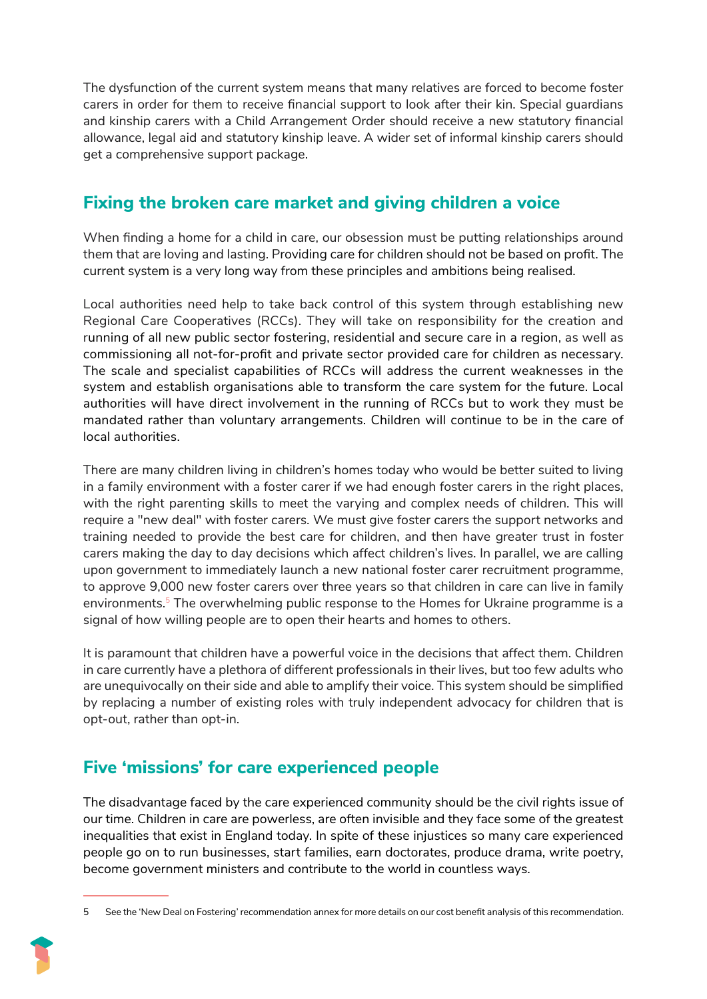The dysfunction of the current system means that many relatives are forced to become foster carers in order for them to receive financial support to look after their kin. Special guardians and kinship carers with a Child Arrangement Order should receive a new statutory financial allowance, legal aid and statutory kinship leave. A wider set of informal kinship carers should get a comprehensive support package.

## **Fixing the broken care market and giving children a voice**

When finding a home for a child in care, our obsession must be putting relationships around them that are loving and lasting. Providing care for children should not be based on profit. The current system is a very long way from these principles and ambitions being realised.

Local authorities need help to take back control of this system through establishing new Regional Care Cooperatives (RCCs). They will take on responsibility for the creation and running of all new public sector fostering, residential and secure care in a region, as well as commissioning all not-for-profit and private sector provided care for children as necessary. The scale and specialist capabilities of RCCs will address the current weaknesses in the system and establish organisations able to transform the care system for the future. Local authorities will have direct involvement in the running of RCCs but to work they must be mandated rather than voluntary arrangements. Children will continue to be in the care of local authorities.

There are many children living in children's homes today who would be better suited to living in a family environment with a foster carer if we had enough foster carers in the right places, with the right parenting skills to meet the varying and complex needs of children. This will require a "new deal" with foster carers. We must give foster carers the support networks and training needed to provide the best care for children, and then have greater trust in foster carers making the day to day decisions which affect children's lives. In parallel, we are calling upon government to immediately launch a new national foster carer recruitment programme, to approve 9,000 new foster carers over three years so that children in care can live in family environments.<sup>5</sup> The overwhelming public response to the Homes for Ukraine programme is a signal of how willing people are to open their hearts and homes to others.

It is paramount that children have a powerful voice in the decisions that affect them. Children in care currently have a plethora of different professionals in their lives, but too few adults who are unequivocally on their side and able to amplify their voice. This system should be simplified by replacing a number of existing roles with truly independent advocacy for children that is opt-out, rather than opt-in.

## **Five 'missions' for care experienced people**

The disadvantage faced by the care experienced community should be the civil rights issue of our time. Children in care are powerless, are often invisible and they face some of the greatest inequalities that exist in England today. In spite of these injustices so many care experienced people go on to run businesses, start families, earn doctorates, produce drama, write poetry, become government ministers and contribute to the world in countless ways.

<sup>5</sup> See the 'New Deal on Fostering' recommendation annex for more details on our cost benefit analysis of this recommendation.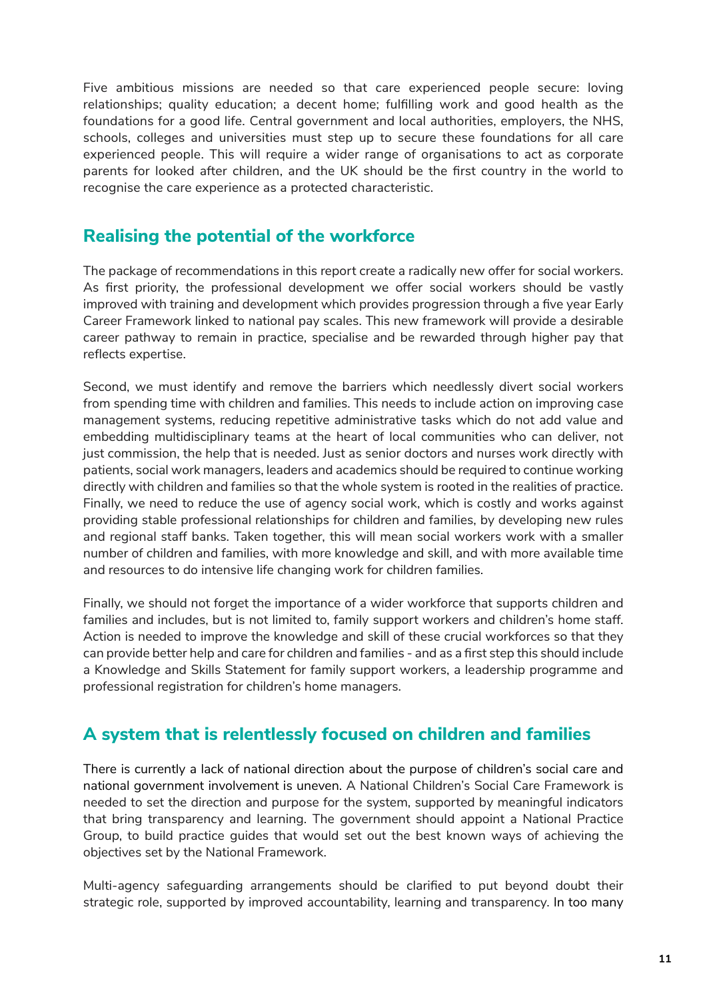Five ambitious missions are needed so that care experienced people secure: loving relationships; quality education; a decent home; fulfilling work and good health as the foundations for a good life. Central government and local authorities, employers, the NHS, schools, colleges and universities must step up to secure these foundations for all care experienced people. This will require a wider range of organisations to act as corporate parents for looked after children, and the UK should be the first country in the world to recognise the care experience as a protected characteristic.

#### **Realising the potential of the workforce**

The package of recommendations in this report create a radically new offer for social workers. As first priority, the professional development we offer social workers should be vastly improved with training and development which provides progression through a five year Early Career Framework linked to national pay scales. This new framework will provide a desirable career pathway to remain in practice, specialise and be rewarded through higher pay that reflects expertise.

Second, we must identify and remove the barriers which needlessly divert social workers from spending time with children and families. This needs to include action on improving case management systems, reducing repetitive administrative tasks which do not add value and embedding multidisciplinary teams at the heart of local communities who can deliver, not just commission, the help that is needed. Just as senior doctors and nurses work directly with patients, social work managers, leaders and academics should be required to continue working directly with children and families so that the whole system is rooted in the realities of practice. Finally, we need to reduce the use of agency social work, which is costly and works against providing stable professional relationships for children and families, by developing new rules and regional staff banks. Taken together, this will mean social workers work with a smaller number of children and families, with more knowledge and skill, and with more available time and resources to do intensive life changing work for children families.

Finally, we should not forget the importance of a wider workforce that supports children and families and includes, but is not limited to, family support workers and children's home staff. Action is needed to improve the knowledge and skill of these crucial workforces so that they can provide better help and care for children and families - and as a first step this should include a Knowledge and Skills Statement for family support workers, a leadership programme and professional registration for children's home managers.

#### **A system that is relentlessly focused on children and families**

There is currently a lack of national direction about the purpose of children's social care and national government involvement is uneven. A National Children's Social Care Framework is needed to set the direction and purpose for the system, supported by meaningful indicators that bring transparency and learning. The government should appoint a National Practice Group, to build practice guides that would set out the best known ways of achieving the objectives set by the National Framework.

Multi-agency safeguarding arrangements should be clarified to put beyond doubt their strategic role, supported by improved accountability, learning and transparency. In too many